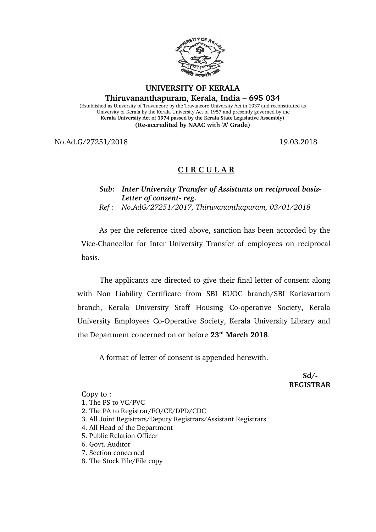

## **UNIVERSITY OF KERALA**

**Thiruvananthapuram, Kerala, India – 695 034**

(Established as University of Travancore by the Travancore University Act in 1937 and reconstituted as University of Kerala by the Kerala University Act of 1957 and presently governed by the **Kerala University Act of 1974 passed by the Kerala State Legislative Assembly) (Reaccredited by NAAC with 'A' Grade)**

No.Ad.G/27251/2018 19.03.2018

## **C I R C U L A R**

*Sub: Inter University Transfer of Assistants on reciprocal basis-*Letter of consent-reg.

*Ref : No.AdG/27251/2017, Thiruvananthapuram, 03/01/2018*

As per the reference cited above, sanction has been accorded by the Vice-Chancellor for Inter University Transfer of employees on reciprocal basis.

The applicants are directed to give their final letter of consent along with Non Liability Certificate from SBI KUOC branch/SBI Kariavattom branch, Kerala University Staff Housing Co-operative Society, Kerala University Employees Co-Operative Society, Kerala University Library and the Department concerned on or before **23rd March 2018**.

A format of letter of consent is appended herewith.

 **Sd/ REGISTRAR**

Copy to :

- 1. The PS to VC/PVC
- 2. The PA to Registrar/FO/CE/DPD/CDC
- 3. All Joint Registrars/Deputy Registrars/Assistant Registrars
- 4. All Head of the Department
- 5. Public Relation Officer
- 6. Govt. Auditor
- 7. Section concerned
- 8. The Stock File/File copy